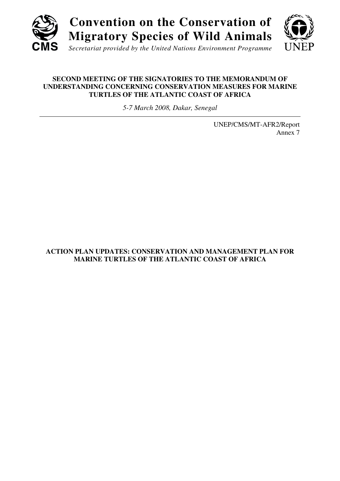

*Secretariat provided by the United Nations Environment Programme*

## **SECOND MEETING OF THE SIGNATORIES TO THE MEMORANDUM OF UNDERSTANDING CONCERNING CONSERVATION MEASURES FOR MARINE TURTLES OF THE ATLANTIC COAST OF AFRICA**

*5-7 March 2008, Dakar, Senegal*

UNEP/CMS/MT-AFR2/Report Annex 7

# **ACTION PLAN UPDATES: CONSERVATION AND MANAGEMENT PLAN FOR MARINE TURTLES OF THE ATLANTIC COAST OF AFRICA**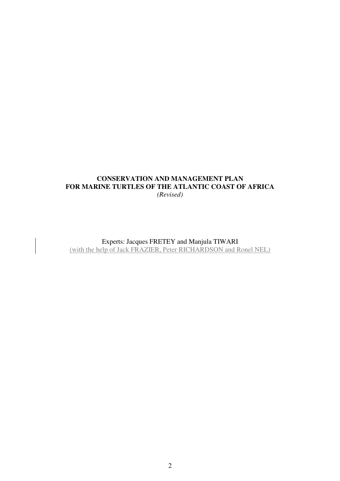# **CONSERVATION AND MANAGEMENT PLAN FOR MARINE TURTLES OF THE ATLANTIC COAST OF AFRICA**  *(Revised)*

Experts: Jacques FRETEY and Manjula TIWARI (with the help of Jack FRAZIER, Peter RICHARDSON and Ronel NEL)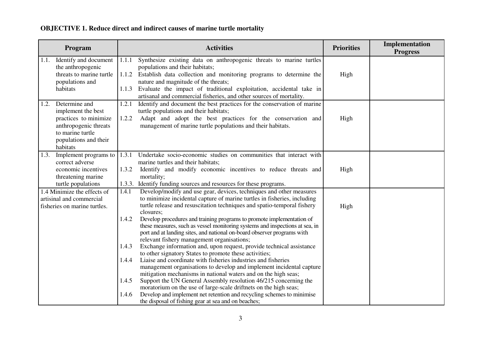## **OBJECTIVE 1. Reduce direct and indirect causes of marine turtle mortality**

|                  | Program                                                                                                                            |                                                    | <b>Activities</b>                                                                                                                                                                                                                                                                                                                                                                                                                                                                                                                                                                                                                                                                                                                                                                                                                                                                                                                                                                                                                                                                                                                              | <b>Priorities</b> | Implementation<br><b>Progress</b> |
|------------------|------------------------------------------------------------------------------------------------------------------------------------|----------------------------------------------------|------------------------------------------------------------------------------------------------------------------------------------------------------------------------------------------------------------------------------------------------------------------------------------------------------------------------------------------------------------------------------------------------------------------------------------------------------------------------------------------------------------------------------------------------------------------------------------------------------------------------------------------------------------------------------------------------------------------------------------------------------------------------------------------------------------------------------------------------------------------------------------------------------------------------------------------------------------------------------------------------------------------------------------------------------------------------------------------------------------------------------------------------|-------------------|-----------------------------------|
| habitats         | 1.1. Identify and document<br>the anthropogenic<br>threats to marine turtle<br>populations and                                     | 1.1.1<br>1.1.3                                     | Synthesize existing data on anthropogenic threats to marine turtles<br>populations and their habitats;<br>1.1.2 Establish data collection and monitoring programs to determine the<br>nature and magnitude of the threats;<br>Evaluate the impact of traditional exploitation, accidental take in<br>artisanal and commercial fisheries, and other sources of mortality.                                                                                                                                                                                                                                                                                                                                                                                                                                                                                                                                                                                                                                                                                                                                                                       | High              |                                   |
| 1.2.<br>habitats | Determine and<br>implement the best<br>practices to minimize<br>anthropogenic threats<br>to marine turtle<br>populations and their | 1.2.1<br>1.2.2                                     | Identify and document the best practices for the conservation of marine<br>turtle populations and their habitats;<br>Adapt and adopt the best practices for the conservation and<br>management of marine turtle populations and their habitats.                                                                                                                                                                                                                                                                                                                                                                                                                                                                                                                                                                                                                                                                                                                                                                                                                                                                                                | High              |                                   |
| 1.3.             | Implement programs to<br>correct adverse<br>economic incentives<br>threatening marine<br>turtle populations                        | 1.3.1<br>1.3.2<br>1.3.3.                           | Undertake socio-economic studies on communities that interact with<br>marine turtles and their habitats;<br>Identify and modify economic incentives to reduce threats and<br>mortality;<br>Identify funding sources and resources for these programs.                                                                                                                                                                                                                                                                                                                                                                                                                                                                                                                                                                                                                                                                                                                                                                                                                                                                                          | High              |                                   |
|                  | 1.4 Minimize the effects of<br>artisinal and commercial<br>fisheries on marine turtles.                                            | 1.4.1<br>1.4.2<br>1.4.3<br>1.4.4<br>1.4.5<br>1.4.6 | Develop/modify and use gear, devices, techniques and other measures<br>to minimize incidental capture of marine turtles in fisheries, including<br>turtle release and resuscitation techniques and spatio-temporal fishery<br>closures;<br>Develop procedures and training programs to promote implementation of<br>these measures, such as vessel monitoring systems and inspections at sea, in<br>port and at landing sites, and national on-board observer programs with<br>relevant fishery management organisations;<br>Exchange information and, upon request, provide technical assistance<br>to other signatory States to promote these activities;<br>Liaise and coordinate with fisheries industries and fisheries<br>management organisations to develop and implement incidental capture<br>mitigation mechanisms in national waters and on the high seas;<br>Support the UN General Assembly resolution 46/215 concerning the<br>moratorium on the use of large-scale driftnets on the high seas;<br>Develop and implement net retention and recycling schemes to minimise<br>the disposal of fishing gear at sea and on beaches; | High              |                                   |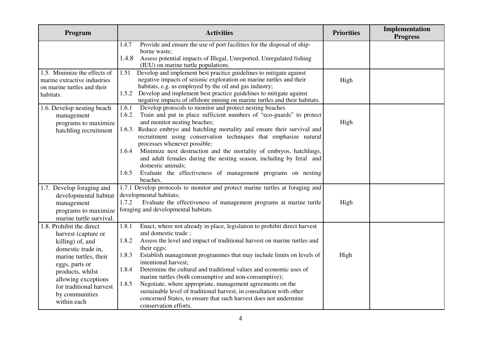| Program                                                                                                                                                                                                                                     | <b>Activities</b>                                                                                                                                                                                                                                                                                                                                                                                                                                                                                                                                                                                                                                                                                           | <b>Priorities</b> | Implementation<br><b>Progress</b> |
|---------------------------------------------------------------------------------------------------------------------------------------------------------------------------------------------------------------------------------------------|-------------------------------------------------------------------------------------------------------------------------------------------------------------------------------------------------------------------------------------------------------------------------------------------------------------------------------------------------------------------------------------------------------------------------------------------------------------------------------------------------------------------------------------------------------------------------------------------------------------------------------------------------------------------------------------------------------------|-------------------|-----------------------------------|
|                                                                                                                                                                                                                                             | Provide and ensure the use of port facilities for the disposal of ship-<br>1.4.7<br>borne waste;<br>1.4.8<br>Assess potential impacts of Illegal, Unreported, Unregulated fishing<br>(IUU) on marine turtle populations.                                                                                                                                                                                                                                                                                                                                                                                                                                                                                    |                   |                                   |
| 1.5. Minimize the effects of<br>marine extractive industries<br>on marine turtles and their<br>habitats.                                                                                                                                    | Develop and implement best practice guidelines to mitigate against<br>1.51<br>negative impacts of seismic exploration on marine turtles and their<br>habitats, e.g. as employed by the oil and gas industry;<br>Develop and implement best practice guidelines to mitigate against<br>1.5.2<br>negative impacts of offshore mining on marine turtles and their habitats.                                                                                                                                                                                                                                                                                                                                    | High              |                                   |
| 1.6. Develop nesting beach<br>management<br>programs to maximize<br>hatchling recruitment                                                                                                                                                   | Develop protocols to monitor and protect nesting beaches<br>1.6.1<br>1.6.2<br>Train and put in place sufficient numbers of "eco-guards" to protect<br>and monitor nesting beaches;<br>1.6.3. Reduce embryo and hatchling mortality and ensure their survival and<br>recruitment using conservation techniques that emphasize natural<br>processes whenever possible;<br>Minimize nest destruction and the mortality of embryos, hatchlings,<br>1.6.4<br>and adult females during the nesting season, including by feral and<br>domestic animals;<br>Evaluate the effectiveness of management programs on nesting<br>1.6.5<br>beaches.                                                                       | High              |                                   |
| 1.7. Develop foraging and<br>developmental habitat<br>management<br>programs to maximize<br>marine turtle survival.                                                                                                                         | 1.7.1 Develop protocols to monitor and protect marine turtles at foraging and<br>developmental habitats;<br>1.7.2<br>Evaluate the effectiveness of management programs at marine turtle<br>foraging and developmental habitats.                                                                                                                                                                                                                                                                                                                                                                                                                                                                             | High              |                                   |
| 1.8. Prohibit the direct<br>harvest (capture or<br>killing) of, and<br>domestic trade in.<br>marine turtles, their<br>eggs, parts or<br>products, whilst<br>allowing exceptions<br>for traditional harvest<br>by communities<br>within each | Enact, where not already in place, legislation to prohibit direct harvest<br>1.8.1<br>and domestic trade;<br>1.8.2<br>Assess the level and impact of traditional harvest on marine turtles and<br>their eggs;<br>1.8.3<br>Establish management programmes that may include limits on levels of<br>intentional harvest;<br>Determine the cultural and traditional values and economic uses of<br>1.8.4<br>marine turtles (both consumptive and non-consumptive);<br>Negotiate, where appropriate, management agreements on the<br>1.8.5<br>sustainable level of traditional harvest, in consultation with other<br>concerned States, to ensure that such harvest does not undermine<br>conservation efforts. | High              |                                   |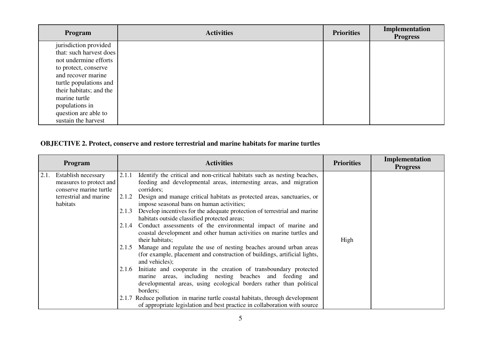| Program                 | <b>Activities</b> | <b>Priorities</b> | Implementation<br><b>Progress</b> |
|-------------------------|-------------------|-------------------|-----------------------------------|
| jurisdiction provided   |                   |                   |                                   |
| that: such harvest does |                   |                   |                                   |
| not undermine efforts   |                   |                   |                                   |
| to protect, conserve    |                   |                   |                                   |
| and recover marine      |                   |                   |                                   |
| turtle populations and  |                   |                   |                                   |
| their habitats; and the |                   |                   |                                   |
| marine turtle           |                   |                   |                                   |
| populations in          |                   |                   |                                   |
| question are able to    |                   |                   |                                   |
| sustain the harvest     |                   |                   |                                   |

# **OBJECTIVE 2. Protect, conserve and restore terrestrial and marine habitats for marine turtles**

|      | <b>Program</b>          |       | <b>Activities</b>                                                             | <b>Priorities</b> | Implementation<br><b>Progress</b> |
|------|-------------------------|-------|-------------------------------------------------------------------------------|-------------------|-----------------------------------|
| 2.1. | Establish necessary     | 2.1.1 | Identify the critical and non-critical habitats such as nesting beaches,      |                   |                                   |
|      | measures to protect and |       | feeding and developmental areas, internesting areas, and migration            |                   |                                   |
|      | conserve marine turtle  |       | corridors;                                                                    |                   |                                   |
|      | terrestrial and marine  | 2.1.2 | Design and manage critical habitats as protected areas, sanctuaries, or       |                   |                                   |
|      | habitats                |       | impose seasonal bans on human activities;                                     |                   |                                   |
|      |                         | 2.1.3 | Develop incentives for the adequate protection of terrestrial and marine      |                   |                                   |
|      |                         |       | habitats outside classified protected areas;                                  |                   |                                   |
|      |                         | 2.1.4 | Conduct assessments of the environmental impact of marine and                 |                   |                                   |
|      |                         |       | coastal development and other human activities on marine turtles and          |                   |                                   |
|      |                         |       | their habitats;                                                               | High              |                                   |
|      |                         | 2.1.5 | Manage and regulate the use of nesting beaches around urban areas             |                   |                                   |
|      |                         |       | (for example, placement and construction of buildings, artificial lights,     |                   |                                   |
|      |                         |       | and vehicles);                                                                |                   |                                   |
|      |                         | 2.1.6 | Initiate and cooperate in the creation of transboundary protected             |                   |                                   |
|      |                         |       | marine areas, including nesting beaches and feeding and                       |                   |                                   |
|      |                         |       | developmental areas, using ecological borders rather than political           |                   |                                   |
|      |                         |       | borders;                                                                      |                   |                                   |
|      |                         |       | 2.1.7 Reduce pollution in marine turtle coastal habitats, through development |                   |                                   |
|      |                         |       | of appropriate legislation and best practice in collaboration with source     |                   |                                   |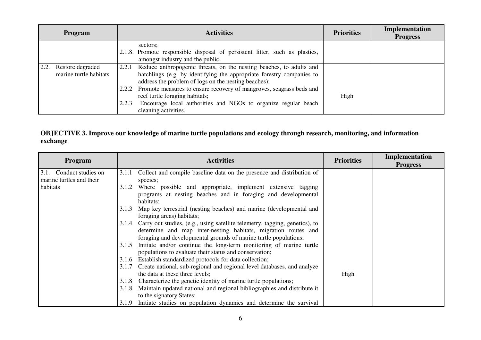| <b>Program</b>                                     | <b>Activities</b>                                                                                                                                                                                                                                                                                                                                                                                                               | <b>Priorities</b> | <b>Implementation</b><br><b>Progress</b> |
|----------------------------------------------------|---------------------------------------------------------------------------------------------------------------------------------------------------------------------------------------------------------------------------------------------------------------------------------------------------------------------------------------------------------------------------------------------------------------------------------|-------------------|------------------------------------------|
|                                                    | sectors;<br>2.1.8. Promote responsible disposal of persistent litter, such as plastics,<br>amongst industry and the public.                                                                                                                                                                                                                                                                                                     |                   |                                          |
| 2.2.<br>Restore degraded<br>marine turtle habitats | Reduce anthropogenic threats, on the nesting beaches, to adults and<br>2.2.1<br>hatchlings (e.g. by identifying the appropriate forestry companies to<br>address the problem of logs on the nesting beaches);<br>2.2.2 Promote measures to ensure recovery of mangroves, seagrass beds and<br>reef turtle foraging habitats;<br>Encourage local authorities and NGOs to organize regular beach<br>2.2.3<br>cleaning activities. | High              |                                          |

# **OBJECTIVE 3. Improve our knowledge of marine turtle populations and ecology through research, monitoring, and information exchange**

| Program                    | <b>Activities</b>                                                                                                                                   | <b>Priorities</b> | Implementation<br><b>Progress</b> |
|----------------------------|-----------------------------------------------------------------------------------------------------------------------------------------------------|-------------------|-----------------------------------|
| Conduct studies on<br>3.1. | Collect and compile baseline data on the presence and distribution of<br>3.1.1                                                                      |                   |                                   |
| marine turtles and their   | species;                                                                                                                                            |                   |                                   |
| habitats                   | Where possible and appropriate, implement extensive tagging<br>3.1.2                                                                                |                   |                                   |
|                            | programs at nesting beaches and in foraging and developmental<br>habitats;                                                                          |                   |                                   |
|                            | Map key terrestrial (nesting beaches) and marine (developmental and<br>3.1.3<br>foraging areas) habitats;                                           |                   |                                   |
|                            | 3.1.4 Carry out studies, (e.g., using satellite telemetry, tagging, genetics), to<br>determine and map inter-nesting habitats, migration routes and |                   |                                   |
|                            | foraging and developmental grounds of marine turtle populations;                                                                                    |                   |                                   |
|                            | Initiate and/or continue the long-term monitoring of marine turtle<br>3.1.5<br>populations to evaluate their status and conservation;               |                   |                                   |
|                            | Establish standardized protocols for data collection;<br>3.1.6                                                                                      |                   |                                   |
|                            | Create national, sub-regional and regional level databases, and analyze<br>3.1.7                                                                    |                   |                                   |
|                            | the data at these three levels;                                                                                                                     | High              |                                   |
|                            | Characterize the genetic identity of marine turtle populations;<br>3.1.8                                                                            |                   |                                   |
|                            | Maintain updated national and regional bibliographies and distribute it<br>3.1.8                                                                    |                   |                                   |
|                            | to the signatory States;                                                                                                                            |                   |                                   |
|                            | Initiate studies on population dynamics and determine the survival<br>3.1.9                                                                         |                   |                                   |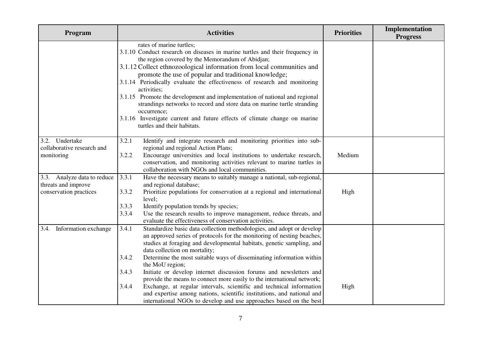| Program                                                                      | <b>Activities</b>                                                                                                                                                                                                                                                                                                                                                                                                                                                                                                                                                                                                                                                                                                                                                | <b>Priorities</b> | Implementation<br><b>Progress</b> |
|------------------------------------------------------------------------------|------------------------------------------------------------------------------------------------------------------------------------------------------------------------------------------------------------------------------------------------------------------------------------------------------------------------------------------------------------------------------------------------------------------------------------------------------------------------------------------------------------------------------------------------------------------------------------------------------------------------------------------------------------------------------------------------------------------------------------------------------------------|-------------------|-----------------------------------|
|                                                                              | rates of marine turtles;<br>3.1.10 Conduct research on diseases in marine turtles and their frequency in<br>the region covered by the Memorandum of Abidjan;<br>3.1.12 Collect ethnozoological information from local communities and<br>promote the use of popular and traditional knowledge;<br>3.1.14 Periodically evaluate the effectiveness of research and monitoring<br>activities;<br>3.1.15 Promote the development and implementation of national and regional<br>strandings networks to record and store data on marine turtle stranding<br>occurrence;<br>3.1.16 Investigate current and future effects of climate change on marine<br>turtles and their habitats.                                                                                   |                   |                                   |
| 3.2. Undertake<br>collaborative research and<br>monitoring                   | 3.2.1<br>Identify and integrate research and monitoring priorities into sub-<br>regional and regional Action Plans;<br>3.2.2<br>Encourage universities and local institutions to undertake research,<br>conservation, and monitoring activities relevant to marine turtles in<br>collaboration with NGOs and local communities.                                                                                                                                                                                                                                                                                                                                                                                                                                  | Medium            |                                   |
| 3.3. Analyze data to reduce<br>threats and improve<br>conservation practices | 3.3.1<br>Have the necessary means to suitably manage a national, sub-regional,<br>and regional database;<br>3.3.2<br>Prioritize populations for conservation at a regional and international<br>level;<br>Identify population trends by species;<br>3.3.3<br>3.3.4<br>Use the research results to improve management, reduce threats, and<br>evaluate the effectiveness of conservation activities.                                                                                                                                                                                                                                                                                                                                                              | High              |                                   |
| 3.4. Information exchange                                                    | 3.4.1<br>Standardize basic data collection methodologies, and adopt or develop<br>an approved series of protocols for the monitoring of nesting beaches,<br>studies at foraging and developmental habitats, genetic sampling, and<br>data collection on mortality;<br>3.4.2<br>Determine the most suitable ways of disseminating information within<br>the MoU region;<br>3.4.3<br>Initiate or develop internet discussion forums and newsletters and<br>provide the means to connect more easily to the international network;<br>3.4.4<br>Exchange, at regular intervals, scientific and technical information<br>and expertise among nations, scientific institutions, and national and<br>international NGOs to develop and use approaches based on the best | High              |                                   |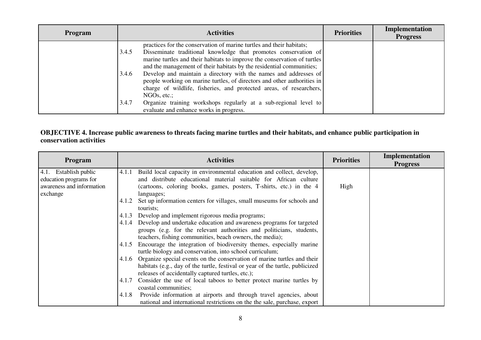| <b>Program</b> | <b>Activities</b>                                                                                                                                                                                                                                                                                    | <b>Priorities</b> | Implementation<br><b>Progress</b> |
|----------------|------------------------------------------------------------------------------------------------------------------------------------------------------------------------------------------------------------------------------------------------------------------------------------------------------|-------------------|-----------------------------------|
|                | practices for the conservation of marine turtles and their habitats;<br>Disseminate traditional knowledge that promotes conservation of<br>3.4.5<br>marine turtles and their habitats to improve the conservation of turtles<br>and the management of their habitats by the residential communities; |                   |                                   |
|                | Develop and maintain a directory with the names and addresses of<br>3.4.6<br>people working on marine turtles, of directors and other authorities in<br>charge of wildlife, fisheries, and protected areas, of researchers,<br>NGOs, etc.;                                                           |                   |                                   |
|                | Organize training workshops regularly at a sub-regional level to<br>3.4.7<br>evaluate and enhance works in progress.                                                                                                                                                                                 |                   |                                   |

# **OBJECTIVE 4. Increase public awareness to threats facing marine turtles and their habitats, and enhance public participation in conservation activities**

| <b>Program</b>            | <b>Activities</b>                                                               | <b>Priorities</b> | Implementation<br><b>Progress</b> |
|---------------------------|---------------------------------------------------------------------------------|-------------------|-----------------------------------|
| 4.1. Establish public     | Build local capacity in environmental education and collect, develop,<br>4.1.1  |                   |                                   |
| education programs for    | and distribute educational material suitable for African culture                |                   |                                   |
| awareness and information | (cartoons, coloring books, games, posters, T-shirts, etc.) in the 4             | High              |                                   |
| exchange                  | languages;                                                                      |                   |                                   |
|                           | Set up information centers for villages, small museums for schools and<br>4.1.2 |                   |                                   |
|                           | tourists:                                                                       |                   |                                   |
|                           | Develop and implement rigorous media programs;<br>4.1.3                         |                   |                                   |
|                           | 4.1.4 Develop and undertake education and awareness programs for targeted       |                   |                                   |
|                           | groups (e.g. for the relevant authorities and politicians, students,            |                   |                                   |
|                           | teachers, fishing communities, beach owners, the media);                        |                   |                                   |
|                           | Encourage the integration of biodiversity themes, especially marine<br>4.1.5    |                   |                                   |
|                           | turtle biology and conservation, into school curriculum;                        |                   |                                   |
|                           | 4.1.6 Organize special events on the conservation of marine turtles and their   |                   |                                   |
|                           | habitats (e.g., day of the turtle, festival or year of the turtle, publicized   |                   |                                   |
|                           | releases of accidentally captured turtles, etc.);                               |                   |                                   |
|                           | Consider the use of local taboos to better protect marine turtles by<br>4.1.7   |                   |                                   |
|                           | coastal communities;                                                            |                   |                                   |
|                           | Provide information at airports and through travel agencies, about<br>4.1.8     |                   |                                   |
|                           | national and international restrictions on the the sale, purchase, export       |                   |                                   |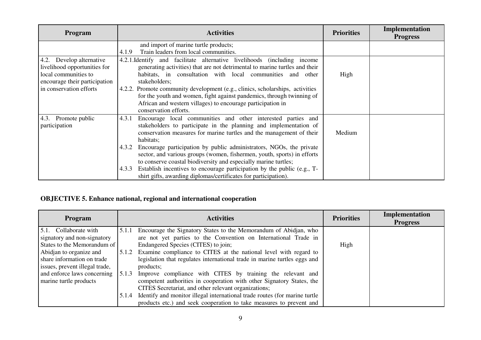| Program                                                                          | <b>Activities</b>                                                                                                                                                                                                                                               | <b>Priorities</b> | Implementation<br><b>Progress</b> |
|----------------------------------------------------------------------------------|-----------------------------------------------------------------------------------------------------------------------------------------------------------------------------------------------------------------------------------------------------------------|-------------------|-----------------------------------|
|                                                                                  | and import of marine turtle products;                                                                                                                                                                                                                           |                   |                                   |
|                                                                                  | Train leaders from local communities.<br>4.1.9                                                                                                                                                                                                                  |                   |                                   |
| 4.2. Develop alternative<br>livelihood opportunities for<br>local communities to | 4.2.1. Identify and facilitate alternative livelihoods (including income<br>generating activities) that are not detrimental to marine turtles and their<br>habitats, in consultation with local communities and other                                           | High              |                                   |
| encourage their participation<br>in conservation efforts                         | stakeholders;<br>4.2.2. Promote community development (e.g., clinics, scholarships, activities<br>for the youth and women, fight against pandemics, through twinning of<br>African and western villages) to encourage participation in<br>conservation efforts. |                   |                                   |
| 4.3. Promote public<br>participation                                             | Encourage local communities and other interested parties and<br>4.3.1<br>stakeholders to participate in the planning and implementation of<br>conservation measures for marine turtles and the management of their<br>habitats;                                 | Medium            |                                   |
|                                                                                  | Encourage participation by public administrators, NGOs, the private<br>4.3.2<br>sector, and various groups (women, fishermen, youth, sports) in efforts<br>to conserve coastal biodiversity and especially marine turtles;                                      |                   |                                   |
|                                                                                  | Establish incentives to encourage participation by the public (e.g., T-<br>4.3.3<br>shirt gifts, awarding diplomas/certificates for participation).                                                                                                             |                   |                                   |

## **OBJECTIVE 5. Enhance national, regional and international cooperation**

| <b>Program</b>                 |       | <b>Activities</b>                                                          | <b>Priorities</b> | Implementation<br><b>Progress</b> |
|--------------------------------|-------|----------------------------------------------------------------------------|-------------------|-----------------------------------|
| 5.1. Collaborate with          | 5.1.1 | Encourage the Signatory States to the Memorandum of Abidjan, who           |                   |                                   |
| signatory and non-signatory    |       | are not yet parties to the Convention on International Trade in            |                   |                                   |
| States to the Memorandum of    |       | Endangered Species (CITES) to join;                                        | High              |                                   |
| Abidjan to organize and        |       | 5.1.2 Examine compliance to CITES at the national level with regard to     |                   |                                   |
| share information on trade     |       | legislation that regulates international trade in marine turtles eggs and  |                   |                                   |
| issues, prevent illegal trade, |       | products;                                                                  |                   |                                   |
| and enforce laws concerning    | 5.1.3 | Improve compliance with CITES by training the relevant and                 |                   |                                   |
| marine turtle products         |       | competent authorities in cooperation with other Signatory States, the      |                   |                                   |
|                                |       | CITES Secretariat, and other relevant organizations;                       |                   |                                   |
|                                | 5.1.4 | Identify and monitor illegal international trade routes (for marine turtle |                   |                                   |
|                                |       | products etc.) and seek cooperation to take measures to prevent and        |                   |                                   |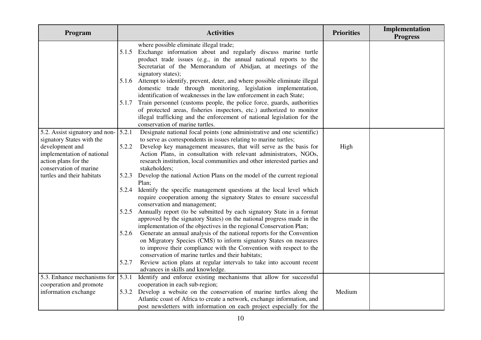| Program                                         |       | <b>Activities</b>                                                                                                                   | <b>Priorities</b> | Implementation<br><b>Progress</b> |
|-------------------------------------------------|-------|-------------------------------------------------------------------------------------------------------------------------------------|-------------------|-----------------------------------|
|                                                 |       | where possible eliminate illegal trade;                                                                                             |                   |                                   |
|                                                 | 5.1.5 | Exchange information about and regularly discuss marine turtle<br>product trade issues (e.g., in the annual national reports to the |                   |                                   |
|                                                 |       | Secretariat of the Memorandum of Abidjan, at meetings of the                                                                        |                   |                                   |
|                                                 |       | signatory states);                                                                                                                  |                   |                                   |
|                                                 | 5.1.6 | Attempt to identify, prevent, deter, and where possible eliminate illegal                                                           |                   |                                   |
|                                                 |       | domestic trade through monitoring, legislation implementation,                                                                      |                   |                                   |
|                                                 |       | identification of weaknesses in the law enforcement in each State;                                                                  |                   |                                   |
|                                                 | 5.1.7 | Train personnel (customs people, the police force, guards, authorities                                                              |                   |                                   |
|                                                 |       | of protected areas, fisheries inspectors, etc.) authorized to monitor                                                               |                   |                                   |
|                                                 |       | illegal trafficking and the enforcement of national legislation for the<br>conservation of marine turtles.                          |                   |                                   |
| 5.2. Assist signatory and non-                  | 5.2.1 | Designate national focal points (one administrative and one scientific)                                                             |                   |                                   |
| signatory States with the                       |       | to serve as correspondents in issues relating to marine turtles;                                                                    |                   |                                   |
| development and                                 | 5.2.2 | Develop key management measures, that will serve as the basis for                                                                   | High              |                                   |
| implementation of national                      |       | Action Plans, in consultation with relevant administrators, NGOs,                                                                   |                   |                                   |
| action plans for the                            |       | research institution, local communities and other interested parties and                                                            |                   |                                   |
| conservation of marine                          |       | stakeholders;                                                                                                                       |                   |                                   |
| turtles and their habitats                      | 5.2.3 | Develop the national Action Plans on the model of the current regional                                                              |                   |                                   |
|                                                 |       | Plan;                                                                                                                               |                   |                                   |
|                                                 | 5.2.4 | Identify the specific management questions at the local level which                                                                 |                   |                                   |
|                                                 |       | require cooperation among the signatory States to ensure successful<br>conservation and management;                                 |                   |                                   |
|                                                 | 5.2.5 | Annually report (to be submitted by each signatory State in a format                                                                |                   |                                   |
|                                                 |       | approved by the signatory States) on the national progress made in the                                                              |                   |                                   |
|                                                 |       | implementation of the objectives in the regional Conservation Plan;                                                                 |                   |                                   |
|                                                 | 5.2.6 | Generate an annual analysis of the national reports for the Convention                                                              |                   |                                   |
|                                                 |       | on Migratory Species (CMS) to inform signatory States on measures                                                                   |                   |                                   |
|                                                 |       | to improve their compliance with the Convention with respect to the                                                                 |                   |                                   |
|                                                 |       | conservation of marine turtles and their habitats;                                                                                  |                   |                                   |
|                                                 | 5.2.7 | Review action plans at regular intervals to take into account recent                                                                |                   |                                   |
|                                                 |       | advances in skills and knowledge.                                                                                                   |                   |                                   |
| 5.3. Enhance mechanisms for                     | 5.3.1 | Identify and enforce existing mechanisms that allow for successful                                                                  |                   |                                   |
| cooperation and promote<br>information exchange | 5.3.2 | cooperation in each sub-region;<br>Develop a website on the conservation of marine turtles along the                                | Medium            |                                   |
|                                                 |       | Atlantic coast of Africa to create a network, exchange information, and                                                             |                   |                                   |
|                                                 |       | post newsletters with information on each project especially for the                                                                |                   |                                   |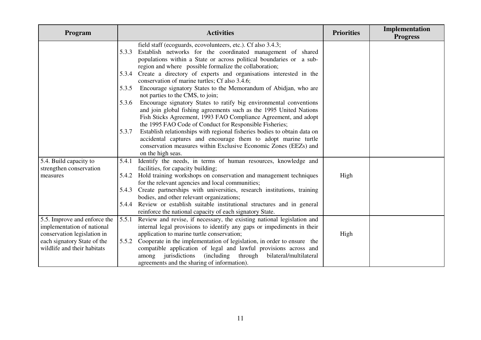| Program                                                    | <b>Activities</b>                                                                                                                                                                                                                                                               | <b>Priorities</b> | Implementation<br><b>Progress</b> |
|------------------------------------------------------------|---------------------------------------------------------------------------------------------------------------------------------------------------------------------------------------------------------------------------------------------------------------------------------|-------------------|-----------------------------------|
|                                                            | field staff (ecoguards, ecovolunteers, etc.). Cf also 3.4.3;<br>Establish networks for the coordinated management of shared<br>5.3.3<br>populations within a State or across political boundaries or a sub-<br>region and where possible formalize the collaboration;           |                   |                                   |
|                                                            | 5.3.4 Create a directory of experts and organisations interested in the<br>conservation of marine turtles; Cf also 3.4.6;                                                                                                                                                       |                   |                                   |
|                                                            | Encourage signatory States to the Memorandum of Abidjan, who are<br>5.3.5<br>not parties to the CMS, to join;                                                                                                                                                                   |                   |                                   |
|                                                            | Encourage signatory States to ratify big environmental conventions<br>5.3.6<br>and join global fishing agreements such as the 1995 United Nations<br>Fish Sticks Agreement, 1993 FAO Compliance Agreement, and adopt<br>the 1995 FAO Code of Conduct for Responsible Fisheries; |                   |                                   |
|                                                            | Establish relationships with regional fisheries bodies to obtain data on<br>5.3.7<br>accidental captures and encourage them to adopt marine turtle<br>conservation measures within Exclusive Economic Zones (EEZs) and<br>on the high seas.                                     |                   |                                   |
| 5.4. Build capacity to<br>strengthen conservation          | Identify the needs, in terms of human resources, knowledge and<br>5.4.1<br>facilities, for capacity building;                                                                                                                                                                   |                   |                                   |
| measures                                                   | Hold training workshops on conservation and management techniques<br>5.4.2<br>for the relevant agencies and local communities;                                                                                                                                                  | High              |                                   |
|                                                            | Create partnerships with universities, research institutions, training<br>5.4.3<br>bodies, and other relevant organizations;                                                                                                                                                    |                   |                                   |
|                                                            | 5.4.4 Review or establish suitable institutional structures and in general<br>reinforce the national capacity of each signatory State.                                                                                                                                          |                   |                                   |
| 5.5. Improve and enforce the                               | Review and revise, if necessary, the existing national legislation and<br>5.5.1                                                                                                                                                                                                 |                   |                                   |
| implementation of national                                 | internal legal provisions to identify any gaps or impediments in their                                                                                                                                                                                                          |                   |                                   |
| conservation legislation in                                | application to marine turtle conservation;                                                                                                                                                                                                                                      | High              |                                   |
| each signatory State of the<br>wildlife and their habitats | 5.5.2<br>Cooperate in the implementation of legislation, in order to ensure the                                                                                                                                                                                                 |                   |                                   |
|                                                            | compatible application of legal and lawful provisions across and<br>jurisdictions (including through<br>bilateral/multilateral<br>among                                                                                                                                         |                   |                                   |
|                                                            | agreements and the sharing of information).                                                                                                                                                                                                                                     |                   |                                   |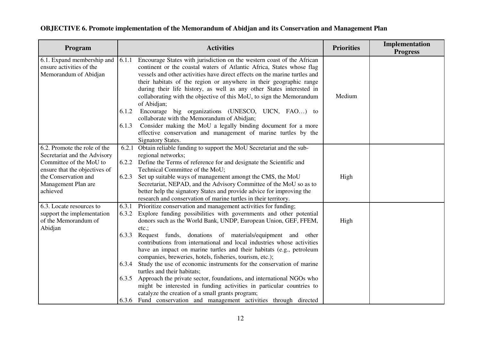| Program                                                                                                                  |                | <b>Activities</b>                                                                                                                                                                                                                                                                                                                                                                                                                                                                                                                                                       | <b>Priorities</b> | Implementation<br><b>Progress</b> |
|--------------------------------------------------------------------------------------------------------------------------|----------------|-------------------------------------------------------------------------------------------------------------------------------------------------------------------------------------------------------------------------------------------------------------------------------------------------------------------------------------------------------------------------------------------------------------------------------------------------------------------------------------------------------------------------------------------------------------------------|-------------------|-----------------------------------|
| 6.1. Expand membership and<br>ensure activities of the<br>Memorandum of Abidjan                                          | 6.1.1<br>6.1.2 | Encourage States with jurisdiction on the western coast of the African<br>continent or the coastal waters of Atlantic Africa, States whose flag<br>vessels and other activities have direct effects on the marine turtles and<br>their habitats of the region or anywhere in their geographic range<br>during their life history, as well as any other States interested in<br>collaborating with the objective of this MoU, to sign the Memorandum<br>of Abidjan;<br>Encourage big organizations (UNESCO, UICN, FAO) to<br>collaborate with the Memorandum of Abidjan; | Medium            |                                   |
|                                                                                                                          | 6.1.3          | Consider making the MoU a legally binding document for a more<br>effective conservation and management of marine turtles by the<br><b>Signatory States.</b>                                                                                                                                                                                                                                                                                                                                                                                                             |                   |                                   |
| 6.2. Promote the role of the<br>Secretariat and the Advisory<br>Committee of the MoU to<br>ensure that the objectives of | 6.2.1<br>6.2.2 | Obtain reliable funding to support the MoU Secretariat and the sub-<br>regional networks;<br>Define the Terms of reference for and designate the Scientific and<br>Technical Committee of the MoU;                                                                                                                                                                                                                                                                                                                                                                      |                   |                                   |
| the Conservation and<br>Management Plan are<br>achieved                                                                  | 6.2.3          | Set up suitable ways of management amongt the CMS, the MoU<br>Secretariat, NEPAD, and the Advisory Committee of the MoU so as to<br>better help the signatory States and provide advice for improving the<br>research and conservation of marine turtles in their territory.                                                                                                                                                                                                                                                                                            | High              |                                   |
| 6.3. Locate resources to<br>support the implementation<br>of the Memorandum of<br>Abidjan                                | 6.3.1<br>6.3.2 | Prioritize conservation and management activities for funding;<br>Explore funding possibilities with governments and other potential<br>donors such as the World Bank, UNDP, European Union, GEF, FFEM,<br>etc.;                                                                                                                                                                                                                                                                                                                                                        | High              |                                   |
|                                                                                                                          | 6.3.3          | Request funds, donations of materials/equipment and other<br>contributions from international and local industries whose activities<br>have an impact on marine turtles and their habitats (e.g., petroleum<br>companies, breweries, hotels, fisheries, tourism, etc.);                                                                                                                                                                                                                                                                                                 |                   |                                   |
|                                                                                                                          | 6.3.4          | Study the use of economic instruments for the conservation of marine<br>turtles and their habitats;                                                                                                                                                                                                                                                                                                                                                                                                                                                                     |                   |                                   |
|                                                                                                                          |                | 6.3.5 Approach the private sector, foundations, and international NGOs who<br>might be interested in funding activities in particular countries to<br>catalyze the creation of a small grants program;                                                                                                                                                                                                                                                                                                                                                                  |                   |                                   |
|                                                                                                                          |                | 6.3.6 Fund conservation and management activities through directed                                                                                                                                                                                                                                                                                                                                                                                                                                                                                                      |                   |                                   |

#### **OBJECTIVE 6. Promote implementation of the Memorandum of Abidjan and its Conservation and Management Plan**